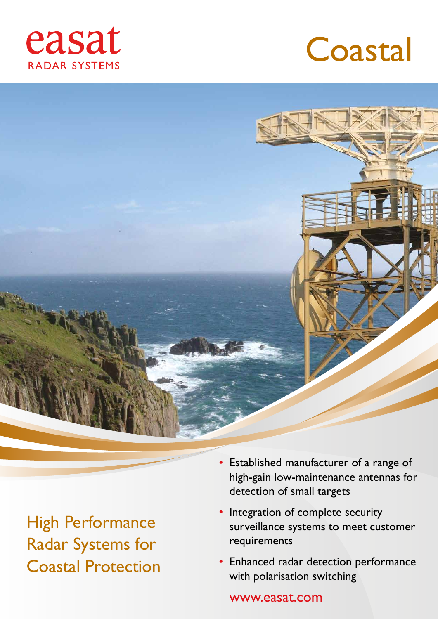





High Performance Radar Systems for Coastal Protection

- Established manufacturer of a range of high-gain low-maintenance antennas for detection of small targets
- Integration of complete security surveillance systems to meet customer requirements
- Enhanced radar detection performance with polarisation switching

www.easat.com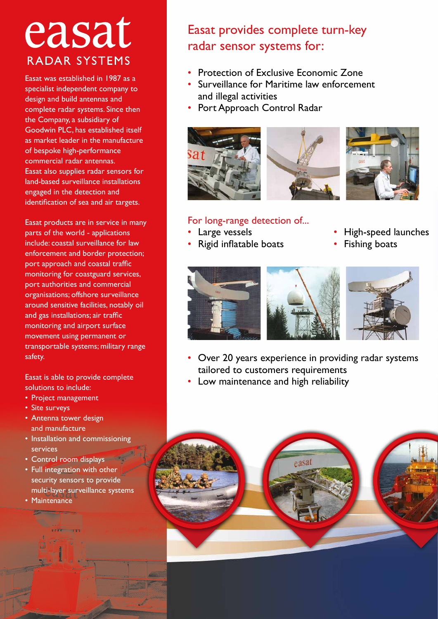## easat RADAR SYSTEMS

Easat was established in 1987 as a specialist independent company to design and build antennas and complete radar systems. Since then the Company, a subsidiary of Goodwin PLC, has established itself as market leader in the manufacture of bespoke high-performance commercial radar antennas. Easat also supplies radar sensors for land-based surveillance installations engaged in the detection and identification of sea and air targets.

Easat products are in service in many parts of the world - applications include: coastal surveillance for law enforcement and border protection; port approach and coastal traffic monitoring for coastguard services, port authorities and commercial organisations; offshore surveillance around sensitive facilities, notably oil and gas installations; air traffic monitoring and airport surface movement using permanent or transportable systems; military range safety.

Easat is able to provide complete solutions to include:

- Project management
- Site surveys
- Antenna tower design and manufacture
- Installation and commissioning services
- Control room displays
- Full integration with other security sensors to provide multi-layer surveillance systems
- Maintenance

## Easat provides complete turn-key radar sensor systems for:

- Protection of Exclusive Economic Zone
- Surveillance for Maritime law enforcement and illegal activities
- Port Approach Control Radar



## For long-range detection of...

- 
- Large vessels High-speed launches
- Rigid inflatable boats Fishing boats



- Over 20 years experience in providing radar systems tailored to customers requirements
- Low maintenance and high reliability

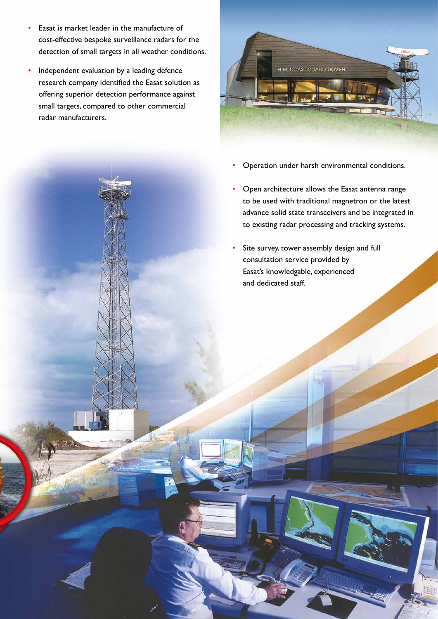- Easat is market leader in the manufacture of cost-effective bespoke surveillance radars for the detection of small targets in all weather conditions.
- Independent evaluation by a leading defence research company identified the Easat solution as offering superior detection performance against small targets, compared to other commercial radar manufacturers.



- Operation under harsh environmental conditions.
- Open architecture allows the Easat antenna range to be used with traditional magnetron or the latest advance solid state transceivers and be integrated in to existing radar processing and tracking systems.
- Site survey, tower assembly design and full consultation service provided by Easat's knowledgable, experienced and dedicated staff.